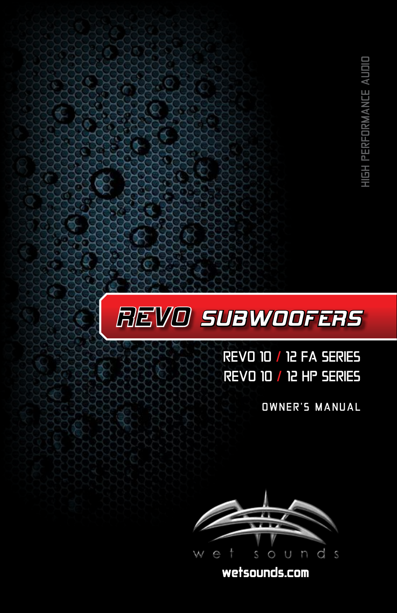

# REVO 10 / 12 FA SERIES REVO 10 / 12 HP SERIES

OWNER'S MANUAL



wetsounds.com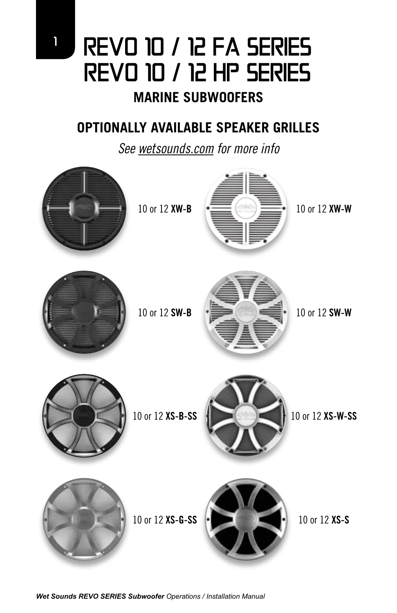# <sup>1</sup> REVO 10 / 12 FA SERIES REVO 10 / 12 HP SERIES

# **MARINE SUBWOOFERS**

# **OPTIONALLY AVAILABLE SPEAKER GRILLES**

*See wetsounds.com for more info*

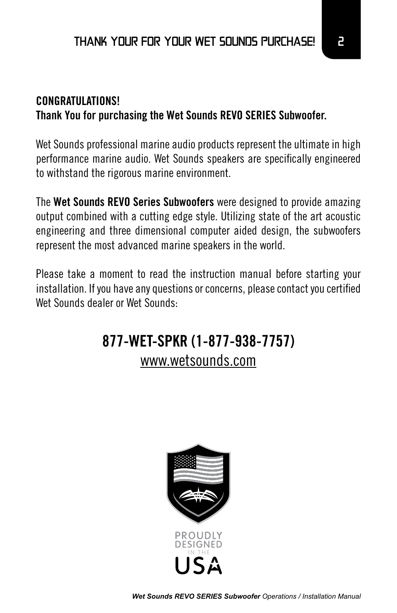### **CONGRATULATIONS! Thank You for purchasing the Wet Sounds REVO SERIES Subwoofer.**

Wet Sounds professional marine audio products represent the ultimate in high performance marine audio. Wet Sounds speakers are specifically engineered to withstand the rigorous marine environment.

The **Wet Sounds REVO Series Subwoofers** were designed to provide amazing output combined with a cutting edge style. Utilizing state of the art acoustic engineering and three dimensional computer aided design, the subwoofers represent the most advanced marine speakers in the world.

Please take a moment to read the instruction manual before starting your installation. If you have any questions or concerns, please contact you certified Wet Sounds dealer or Wet Sounds:

# **877-WET-SPKR (1-877-938-7757)** www.wetsounds.com



*Wet Sounds REVO SERIES Subwoofer Operations / Installation Manual*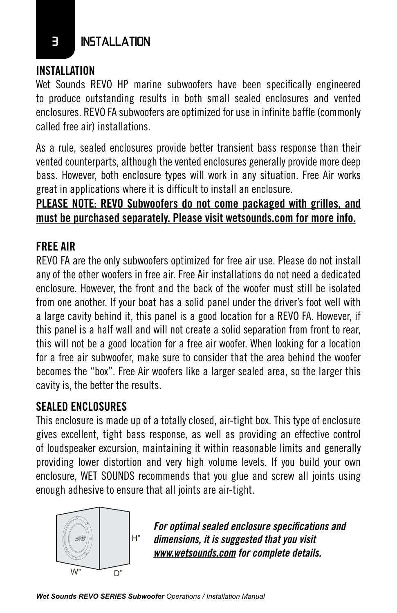### **E** INSTALLATION

#### **INSTALLATION**

Wet Sounds REVO HP marine subwoofers have been specifically engineered to produce outstanding results in both small sealed enclosures and vented enclosures. REVO FA subwoofers are optimized for use in infinite baffle (commonly called free air) installations.

As a rule, sealed enclosures provide better transient bass response than their vented counterparts, although the vented enclosures generally provide more deep bass. However, both enclosure types will work in any situation. Free Air works great in applications where it is difficult to install an enclosure.

### **PLEASE NOTE: REVO Subwoofers do not come packaged with grilles, and must be purchased separately. Please visit wetsounds.com for more info.**

### **FREE AIR**

REVO FA are the only subwoofers optimized for free air use. Please do not install any of the other woofers in free air. Free Air installations do not need a dedicated enclosure. However, the front and the back of the woofer must still be isolated from one another. If your boat has a solid panel under the driver's foot well with a large cavity behind it, this panel is a good location for a REVO FA. However, if this panel is a half wall and will not create a solid separation from front to rear, this will not be a good location for a free air woofer. When looking for a location for a free air subwoofer, make sure to consider that the area behind the woofer becomes the "box". Free Air woofers like a larger sealed area, so the larger this cavity is, the better the results.

### **SEALED ENCLOSURES**

This enclosure is made up of a totally closed, air-tight box. This type of enclosure gives excellent, tight bass response, as well as providing an effective control of loudspeaker excursion, maintaining it within reasonable limits and generally providing lower distortion and very high volume levels. If you build your own enclosure, WET SOUNDS recommends that you glue and screw all joints using enough adhesive to ensure that all joints are air-tight.



dimensions, it is suggested that you visit *For optimal sealed enclosure specifications and www.wetsounds.com for complete details.*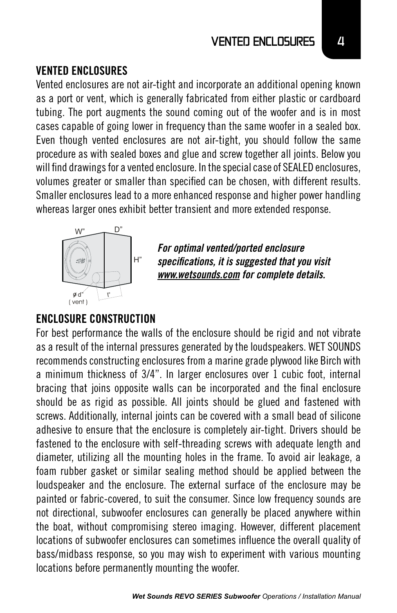#### VENTED ENCLOSURES **4**

#### **VENTED ENCLOSURES**

Vented enclosures are not air-tight and incorporate an additional opening known as a port or vent, which is generally fabricated from either plastic or cardboard tubing. The port augments the sound coming out of the woofer and is in most cases capable of going lower in frequency than the same woofer in a sealed box. Even though vented enclosures are not air-tight, you should follow the same procedure as with sealed boxes and glue and screw together all joints. Below you will find drawings for a vented enclosure. In the special case of SEALED enclosures, volumes greater or smaller than specified can be chosen, with different results. Smaller enclosures lead to a more enhanced response and higher power handling whereas larger ones exhibit better transient and more extended response.



*For optimal vented/ported enclosure specifications, it is suggested that you visit www.wetsounds.com for complete details.*

#### **ENCLOSURE CONSTRUCTION**

For best performance the walls of the enclosure should be rigid and not vibrate as a result of the internal pressures generated by the loudspeakers. WET SOUNDS recommends constructing enclosures from a marine grade plywood like Birch with a minimum thickness of 3/4". In larger enclosures over 1 cubic foot, internal bracing that joins opposite walls can be incorporated and the final enclosure should be as rigid as possible. All joints should be glued and fastened with screws. Additionally, internal joints can be covered with a small bead of silicone adhesive to ensure that the enclosure is completely air-tight. Drivers should be fastened to the enclosure with self-threading screws with adequate length and diameter, utilizing all the mounting holes in the frame. To avoid air leakage, a foam rubber gasket or similar sealing method should be applied between the loudspeaker and the enclosure. The external surface of the enclosure may be painted or fabric-covered, to suit the consumer. Since low frequency sounds are not directional, subwoofer enclosures can generally be placed anywhere within the boat, without compromising stereo imaging. However, different placement locations of subwoofer enclosures can sometimes influence the overall quality of bass/midbass response, so you may wish to experiment with various mounting locations before permanently mounting the woofer.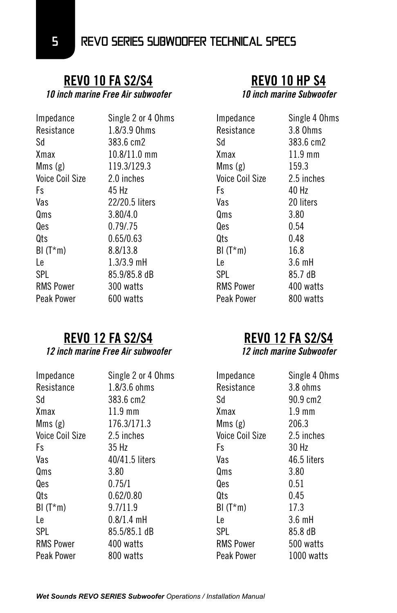# **REVO 10 FA S2/S4**

*10 inch marine Free Air subwoofer*

| Impedance              | Single 2 or 4 Ohms |
|------------------------|--------------------|
| Resistance             | 1.8/3.9 Ohms       |
| Sd                     | 383.6 cm2          |
| Xmax                   | $10.8/11.0$ mm     |
| Mms(g)                 | 119.3/129.3        |
| <b>Voice Coil Size</b> | 2.0 inches         |
| Fs                     | 45 Hz              |
| Vas                    | 22/20.5 liters     |
| Qms                    | 3.80/4.0           |
| Qes                    | 0.79/.75           |
| Qts                    | 0.65/0.63          |
| $BI(T*m)$              | 8.8/13.8           |
| Le                     | $1.3/3.9$ mH       |
| SPL                    | 85.9/85.8 dB       |
| <b>RMS Power</b>       | 300 watts          |
| Peak Power             | 600 watts          |

#### **REVO 12 FA S2/S4** *12 inch marine Free Air subwoofer*

| Impedance              | Single 2 or 4 Ohms |
|------------------------|--------------------|
| Resistance             | $1.8/3.6$ ohms     |
| Sd                     | 383.6 cm2          |
| Xmax                   | $11.9$ mm          |
| Mms(g)                 | 176.3/171.3        |
| <b>Voice Coil Size</b> | 2.5 inches         |
| Fs                     | 35 Hz              |
| Vas                    | 40/41.5 liters     |
| Qms                    | 3.80               |
| 0es                    | 0.75/1             |
| Qts                    | 0.62/0.80          |
| $BI(T*m)$              | 9.7/11.9           |
| l e                    | $0.8/1.4$ mH       |
| SPL                    | 85.5/85.1 dB       |
| <b>RMS Power</b>       | 400 watts          |
| Peak Power             | 800 watts          |
|                        |                    |

# **REVO 10 HP S4**

*10 inch marine Subwoofer*

| Impedance              | Single 4 Ohms    |
|------------------------|------------------|
| Resistance             | 3.8 Ohms         |
| Sd                     | 383.6 cm2        |
| Xmax                   | $11.9$ mm        |
| Mms (g)                | 159.3            |
| <b>Voice Coil Size</b> | 2.5 inches       |
| Fs                     | 40 Hz            |
| Vas                    | 20 liters        |
| Qms                    | 3.80             |
| Qes                    | 0.54             |
| Qts                    | 0.48             |
| BI (T*m)               | 16.8             |
| l e                    | $3.6 \text{ mH}$ |
| SPI                    | 85.7 dB          |
| <b>RMS Power</b>       | 400 watts        |
| Peak Power             | 800 watts        |
|                        |                  |

# **REVO 12 FA S2/S4**

*12 inch marine Subwoofer*

| Impedance        | Single 4 Ohms    |
|------------------|------------------|
| Resistance       | 3.8 ohms         |
| Sd               | 90.9 cm2         |
| Xmax             | $1.9 \text{ mm}$ |
| Mms (g)          | 206.3            |
| Voice Coil Size  | 2.5 inches       |
| Fs               | 30 Hz            |
| Vas              | 46.5 liters      |
| Qms              | 3.80             |
| Qes              | 0.51             |
| Qts              | 0.45             |
| $BI(T*m)$        | 17.3             |
| l e              | $3.6 \text{ mH}$ |
| SPL              | 85.8 dB          |
| <b>RMS Power</b> | 500 watts        |
| Peak Power       | 1000 watts       |
|                  |                  |

5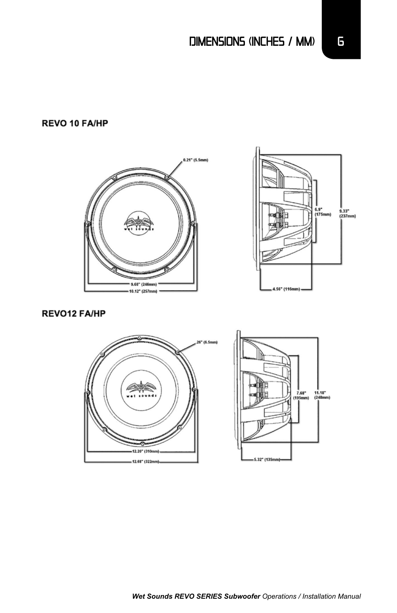#### REVO 10 FA/HP





#### **REVO12 FA/HP**



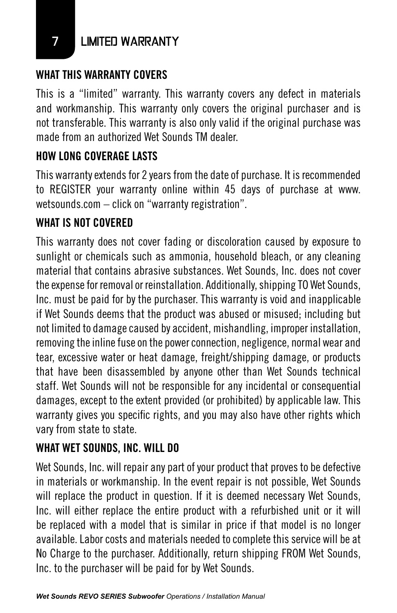7 LIMITED WARRANTY

## **WHAT THIS WARRANTY COVERS**

This is a "limited" warranty. This warranty covers any defect in materials and workmanship. This warranty only covers the original purchaser and is not transferable. This warranty is also only valid if the original purchase was made from an authorized Wet Sounds TM dealer.

# **HOW LONG COVERAGE LASTS**

This warranty extends for 2 years from the date of purchase. It is recommended to REGISTER your warranty online within 45 days of purchase at www. wetsounds.com – click on "warranty registration".

### **WHAT IS NOT COVERED**

This warranty does not cover fading or discoloration caused by exposure to sunlight or chemicals such as ammonia, household bleach, or any cleaning material that contains abrasive substances. Wet Sounds, Inc. does not cover the expense for removal or reinstallation. Additionally, shipping TO Wet Sounds, Inc. must be paid for by the purchaser. This warranty is void and inapplicable if Wet Sounds deems that the product was abused or misused; including but not limited to damage caused by accident, mishandling, improper installation, removing the inline fuse on the power connection, negligence, normal wear and tear, excessive water or heat damage, freight/shipping damage, or products that have been disassembled by anyone other than Wet Sounds technical staff. Wet Sounds will not be responsible for any incidental or consequential damages, except to the extent provided (or prohibited) by applicable law. This warranty gives you specific rights, and you may also have other rights which vary from state to state.

### **WHAT WET SOUNDS, INC. WILL DO**

Wet Sounds, Inc. will repair any part of your product that proves to be defective in materials or workmanship. In the event repair is not possible, Wet Sounds will replace the product in question. If it is deemed necessary Wet Sounds, Inc. will either replace the entire product with a refurbished unit or it will be replaced with a model that is similar in price if that model is no longer available. Labor costs and materials needed to complete this service will be at No Charge to the purchaser. Additionally, return shipping FROM Wet Sounds, Inc. to the purchaser will be paid for by Wet Sounds.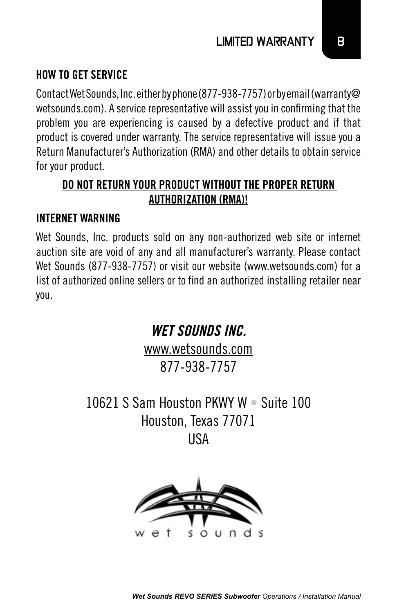#### **HOW TO GET SERVICE**

Contact Wet Sounds, Inc. either by phone (877-938-7757) or by email (warranty@ wetsounds.com). A service representative will assist you in confirming that the problem you are experiencing is caused by a defective product and if that product is covered under warranty. The service representative will issue you a Return Manufacturer's Authorization (RMA) and other details to obtain service for your product.

#### **DO NOT RETURN YOUR PRODUCT WITHOUT THE PROPER RETURN AUTHORIZATION (RMA)!**

#### **INTERNET WARNING**

Wet Sounds, Inc. products sold on any non-authorized web site or internet auction site are void of any and all manufacturer's warranty. Please contact Wet Sounds (877-938-7757) or visit our website (www.wetsounds.com) for a list of authorized online sellers or to find an authorized installing retailer near you.

> www.wetsounds.com 877-938-7757

*WET SOUNDS INC.*

10621 S Sam Houston PKWY W • Suite 100 Houston, Texas 77071 USA